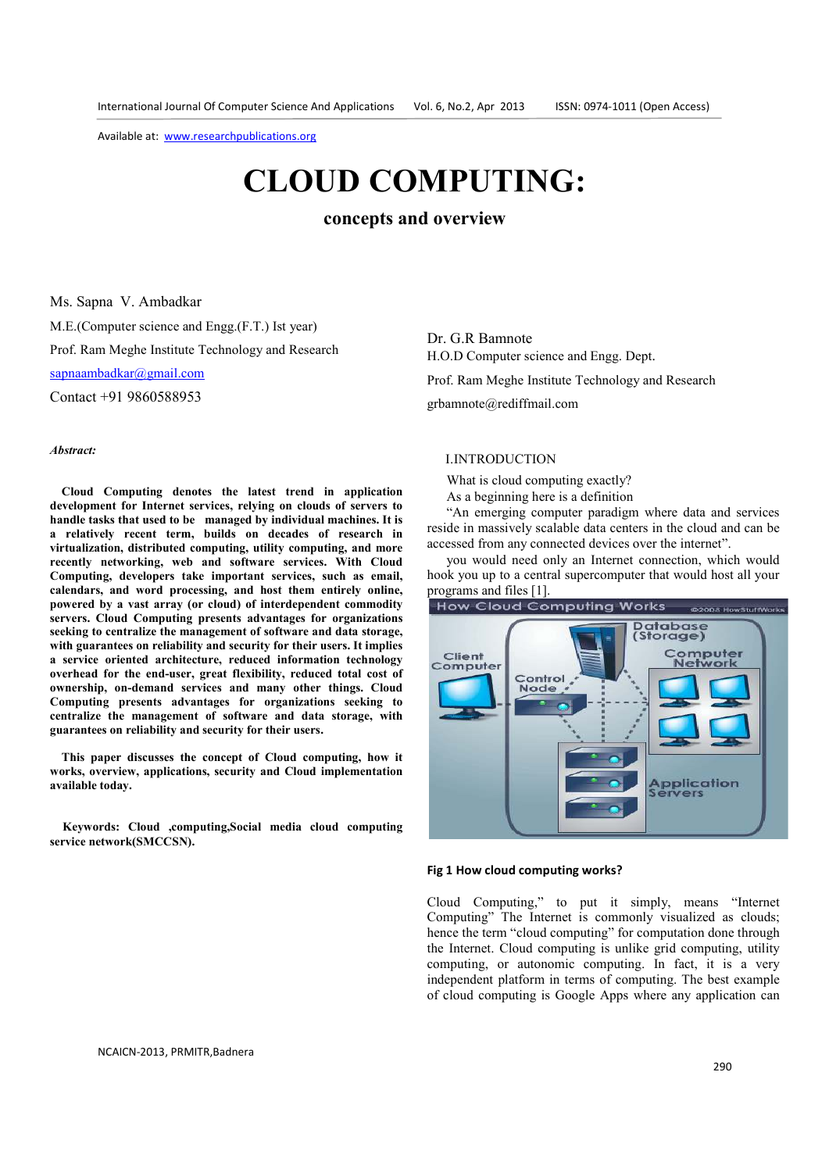# **CLOUD COMPUTING:**

**concepts and overview**

Ms. Sapna V. Ambadkar M.E.(Computer science and Engg.(F.T.) Ist year) Prof. Ram Meghe Institute Technology and Research sapnaambadkar@gmail.com

Contact +91 9860588953

#### *Abstract:*

**Cloud Computing denotes the latest trend in application development for Internet services, relying on clouds of servers to handle tasks that used to be managed by individual machines. It is a relatively recent term, builds on decades of research in virtualization, distributed computing, utility computing, and more recently networking, web and software services. With Cloud Computing, developers take important services, such as email, calendars, and word processing, and host them entirely online, powered by a vast array (or cloud) of interdependent commodity servers. Cloud Computing presents advantages for organizations seeking to centralize the management of software and data storage, with guarantees on reliability and security for their users. It implies a service oriented architecture, reduced information technology overhead for the end-user, great flexibility, reduced total cost of ownership, on-demand services and many other things. Cloud Computing presents advantages for organizations seeking to centralize the management of software and data storage, with guarantees on reliability and security for their users.** 

**This paper discusses the concept of Cloud computing, how it works, overview, applications, security and Cloud implementation available today.** 

**Keywords: Cloud ,computing,Social media cloud computing service network(SMCCSN).** 

Dr. G.R Bamnote H.O.D Computer science and Engg. Dept. Prof. Ram Meghe Institute Technology and Research grbamnote@rediffmail.com

# I.INTRODUCTION

What is cloud computing exactly?

As a beginning here is a definition

"An emerging computer paradigm where data and services reside in massively scalable data centers in the cloud and can be accessed from any connected devices over the internet".

you would need only an Internet connection, which would hook you up to a central supercomputer that would host all your programs and files [1].



#### **Fig 1 How cloud computing works?**

Cloud Computing," to put it simply, means "Internet Computing" The Internet is commonly visualized as clouds; hence the term "cloud computing" for computation done through the Internet. Cloud computing is unlike grid computing, utility computing, or autonomic computing. In fact, it is a very independent platform in terms of computing. The best example of cloud computing is Google Apps where any application can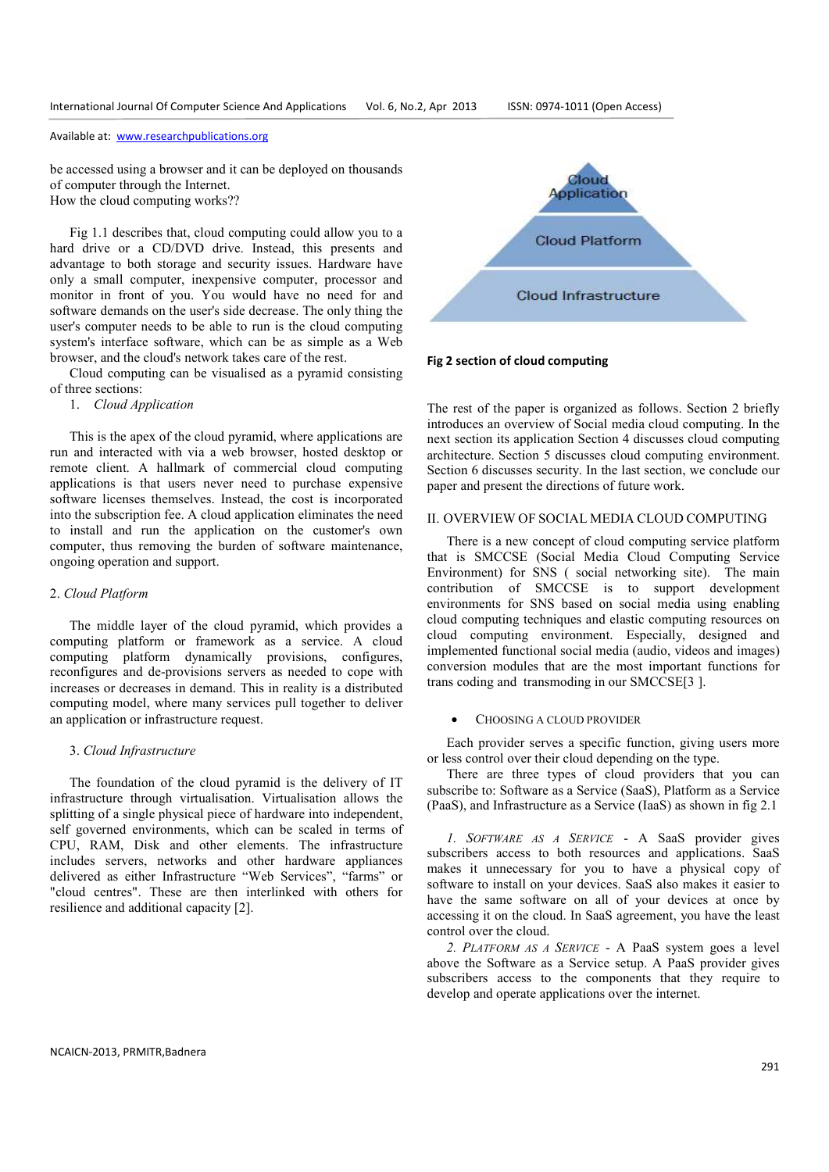be accessed using a browser and it can be deployed on thousands of computer through the Internet. How the cloud computing works??

Fig 1.1 describes that, cloud computing could allow you to a hard drive or a CD/DVD drive. Instead, this presents and advantage to both storage and security issues. Hardware have only a small computer, inexpensive computer, processor and monitor in front of you. You would have no need for and software demands on the user's side decrease. The only thing the user's computer needs to be able to run is the cloud computing system's interface software, which can be as simple as a Web browser, and the cloud's network takes care of the rest.

Cloud computing can be visualised as a pyramid consisting of three sections:

# 1. *Cloud Application*

This is the apex of the cloud pyramid, where applications are run and interacted with via a web browser, hosted desktop or remote client. A hallmark of commercial cloud computing applications is that users never need to purchase expensive software licenses themselves. Instead, the cost is incorporated into the subscription fee. A cloud application eliminates the need to install and run the application on the customer's own computer, thus removing the burden of software maintenance, ongoing operation and support.

#### 2. *Cloud Platform*

The middle layer of the cloud pyramid, which provides a computing platform or framework as a service. A cloud computing platform dynamically provisions, configures, reconfigures and de-provisions servers as needed to cope with increases or decreases in demand. This in reality is a distributed computing model, where many services pull together to deliver an application or infrastructure request.

#### 3. *Cloud Infrastructure*

The foundation of the cloud pyramid is the delivery of IT infrastructure through virtualisation. Virtualisation allows the splitting of a single physical piece of hardware into independent, self governed environments, which can be scaled in terms of CPU, RAM, Disk and other elements. The infrastructure includes servers, networks and other hardware appliances delivered as either Infrastructure "Web Services", "farms" or "cloud centres". These are then interlinked with others for resilience and additional capacity [2].



## **Fig 2 section of cloud computing**

The rest of the paper is organized as follows. Section 2 briefly introduces an overview of Social media cloud computing. In the next section its application Section 4 discusses cloud computing architecture. Section 5 discusses cloud computing environment. Section 6 discusses security. In the last section, we conclude our paper and present the directions of future work.

# II. OVERVIEW OF SOCIAL MEDIA CLOUD COMPUTING

There is a new concept of cloud computing service platform that is SMCCSE (Social Media Cloud Computing Service Environment) for SNS ( social networking site). The main contribution of SMCCSE is to support development environments for SNS based on social media using enabling cloud computing techniques and elastic computing resources on cloud computing environment. Especially, designed and implemented functional social media (audio, videos and images) conversion modules that are the most important functions for trans coding and transmoding in our SMCCSE[3 ].

# • CHOOSING A CLOUD PROVIDER

Each provider serves a specific function, giving users more or less control over their cloud depending on the type.

There are three types of cloud providers that you can subscribe to: Software as a Service (SaaS), Platform as a Service (PaaS), and Infrastructure as a Service (IaaS) as shown in fig 2.1

*1. SOFTWARE AS A SERVICE* - A SaaS provider gives subscribers access to both resources and applications. SaaS makes it unnecessary for you to have a physical copy of software to install on your devices. SaaS also makes it easier to have the same software on all of your devices at once by accessing it on the cloud. In SaaS agreement, you have the least control over the cloud.

*2. PLATFORM AS A SERVICE* - A PaaS system goes a level above the Software as a Service setup. A PaaS provider gives subscribers access to the components that they require to develop and operate applications over the internet.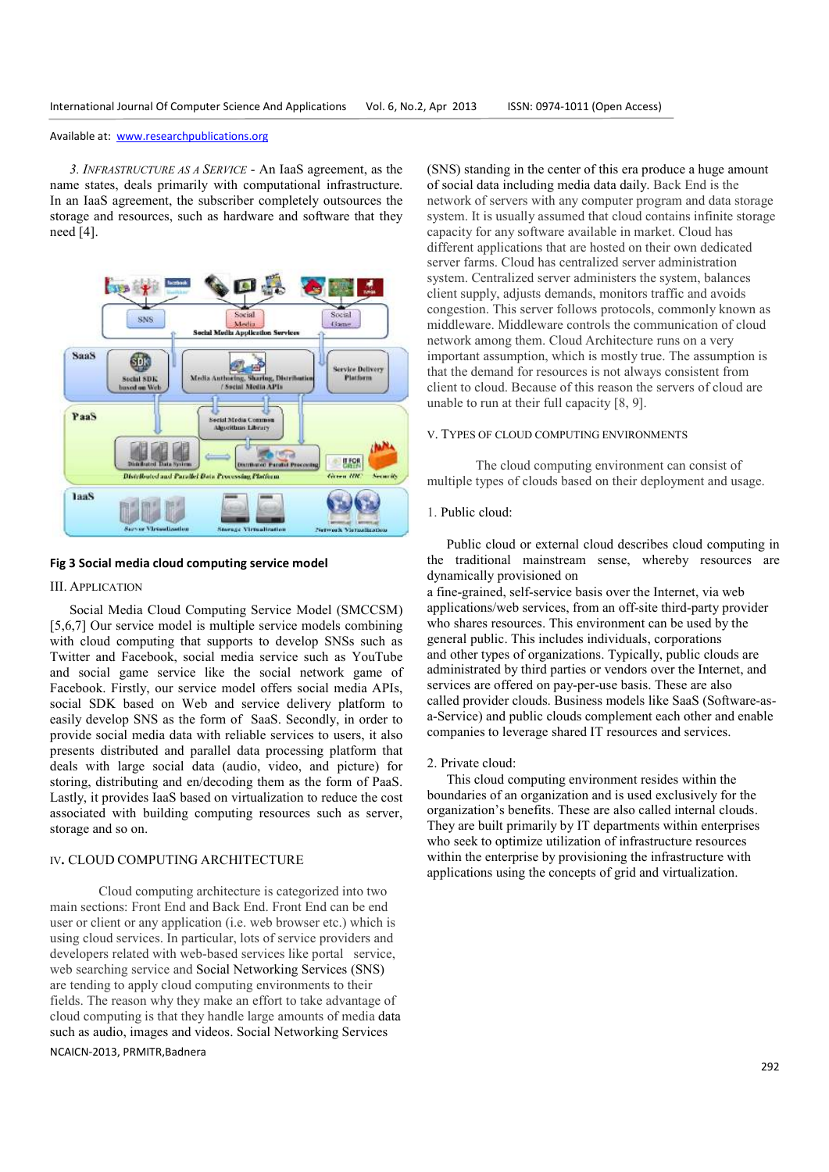*3. INFRASTRUCTURE AS A SERVICE* - An IaaS agreement, as the name states, deals primarily with computational infrastructure. In an IaaS agreement, the subscriber completely outsources the storage and resources, such as hardware and software that they need [4].



#### **Fig 3 Social media cloud computing service model**

### III. APPLICATION

Social Media Cloud Computing Service Model (SMCCSM) [5,6,7] Our service model is multiple service models combining with cloud computing that supports to develop SNSs such as Twitter and Facebook, social media service such as YouTube and social game service like the social network game of Facebook. Firstly, our service model offers social media APIs, social SDK based on Web and service delivery platform to easily develop SNS as the form of SaaS. Secondly, in order to provide social media data with reliable services to users, it also presents distributed and parallel data processing platform that deals with large social data (audio, video, and picture) for storing, distributing and en/decoding them as the form of PaaS. Lastly, it provides IaaS based on virtualization to reduce the cost associated with building computing resources such as server, storage and so on.

# IV**.** CLOUD COMPUTING ARCHITECTURE

NCAICN-2013, PRMITR,Badnera Cloud computing architecture is categorized into two main sections: Front End and Back End. Front End can be end user or client or any application (i.e. web browser etc.) which is using cloud services. In particular, lots of service providers and developers related with web-based services like portal service, web searching service and Social Networking Services (SNS) are tending to apply cloud computing environments to their fields. The reason why they make an effort to take advantage of cloud computing is that they handle large amounts of media data such as audio, images and videos. Social Networking Services

(SNS) standing in the center of this era produce a huge amount of social data including media data daily. Back End is the network of servers with any computer program and data storage system. It is usually assumed that cloud contains infinite storage capacity for any software available in market. Cloud has different applications that are hosted on their own dedicated server farms. Cloud has centralized server administration system. Centralized server administers the system, balances client supply, adjusts demands, monitors traffic and avoids congestion. This server follows protocols, commonly known as middleware. Middleware controls the communication of cloud network among them. Cloud Architecture runs on a very important assumption, which is mostly true. The assumption is that the demand for resources is not always consistent from client to cloud. Because of this reason the servers of cloud are unable to run at their full capacity [8, 9].

# V. TYPES OF CLOUD COMPUTING ENVIRONMENTS

The cloud computing environment can consist of multiple types of clouds based on their deployment and usage.

## 1. Public cloud:

Public cloud or external cloud describes cloud computing in the traditional mainstream sense, whereby resources are dynamically provisioned on

a fine-grained, self-service basis over the Internet, via web applications/web services, from an off-site third-party provider who shares resources. This environment can be used by the general public. This includes individuals, corporations and other types of organizations. Typically, public clouds are administrated by third parties or vendors over the Internet, and services are offered on pay-per-use basis. These are also called provider clouds. Business models like SaaS (Software-asa-Service) and public clouds complement each other and enable companies to leverage shared IT resources and services.

#### 2. Private cloud:

This cloud computing environment resides within the boundaries of an organization and is used exclusively for the organization's benefits. These are also called internal clouds. They are built primarily by IT departments within enterprises who seek to optimize utilization of infrastructure resources within the enterprise by provisioning the infrastructure with applications using the concepts of grid and virtualization.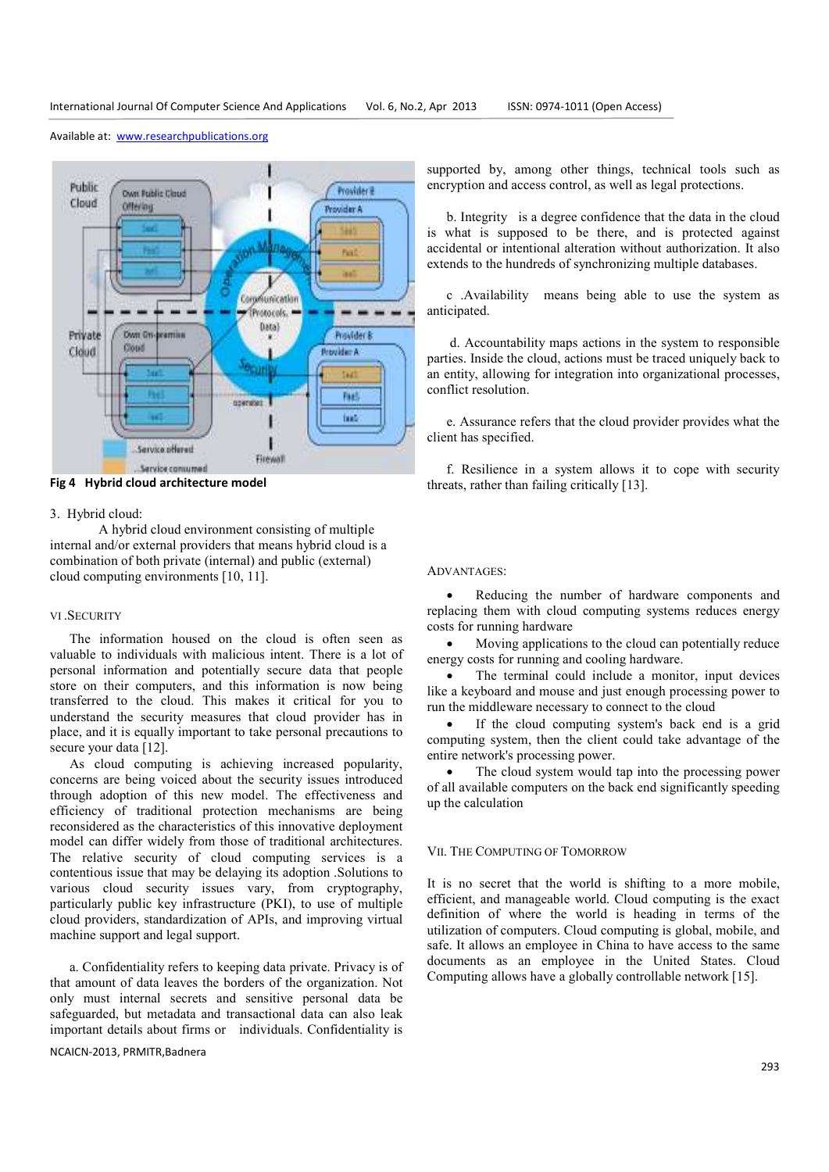Public **Provider®** Own Public Cloud Cloud Offerior Provider A **First** Coroniunication Protocols. Data) Private **David Driv** Provider & **beaming** Cond Cloud **Chairman Curity** Feel sperator. fant. Service offered Firewall Service consumed

Available at: www.researchpublications.org

**Fig 4 Hybrid cloud architecture model** 

#### 3. Hybrid cloud:

A hybrid cloud environment consisting of multiple internal and/or external providers that means hybrid cloud is a combination of both private (internal) and public (external) cloud computing environments [10, 11].

# VI .SECURITY

The information housed on the cloud is often seen as valuable to individuals with malicious intent. There is a lot of personal information and potentially secure data that people store on their computers, and this information is now being transferred to the cloud. This makes it critical for you to understand the security measures that cloud provider has in place, and it is equally important to take personal precautions to secure your data [12].

As cloud computing is achieving increased popularity, concerns are being voiced about the security issues introduced through adoption of this new model. The effectiveness and efficiency of traditional protection mechanisms are being reconsidered as the characteristics of this innovative deployment model can differ widely from those of traditional architectures. The relative security of cloud computing services is a contentious issue that may be delaying its adoption .Solutions to various cloud security issues vary, from cryptography, particularly public key infrastructure (PKI), to use of multiple cloud providers, standardization of APIs, and improving virtual machine support and legal support.

a. Confidentiality refers to keeping data private. Privacy is of that amount of data leaves the borders of the organization. Not only must internal secrets and sensitive personal data be safeguarded, but metadata and transactional data can also leak important details about firms or individuals. Confidentiality is

NCAICN-2013, PRMITR,Badnera

supported by, among other things, technical tools such as encryption and access control, as well as legal protections.

b. Integrity is a degree confidence that the data in the cloud is what is supposed to be there, and is protected against accidental or intentional alteration without authorization. It also extends to the hundreds of synchronizing multiple databases.

c .Availability means being able to use the system as anticipated.

 d. Accountability maps actions in the system to responsible parties. Inside the cloud, actions must be traced uniquely back to an entity, allowing for integration into organizational processes, conflict resolution.

e. Assurance refers that the cloud provider provides what the client has specified.

f. Resilience in a system allows it to cope with security threats, rather than failing critically [13].

#### ADVANTAGES:

• Reducing the number of hardware components and replacing them with cloud computing systems reduces energy costs for running hardware

• Moving applications to the cloud can potentially reduce energy costs for running and cooling hardware.

The terminal could include a monitor, input devices like a keyboard and mouse and just enough processing power to run the middleware necessary to connect to the cloud

• If the cloud computing system's back end is a grid computing system, then the client could take advantage of the entire network's processing power.

The cloud system would tap into the processing power of all available computers on the back end significantly speeding up the calculation

#### VII. THE COMPUTING OF TOMORROW

It is no secret that the world is shifting to a more mobile, efficient, and manageable world. Cloud computing is the exact definition of where the world is heading in terms of the utilization of computers. Cloud computing is global, mobile, and safe. It allows an employee in China to have access to the same documents as an employee in the United States. Cloud Computing allows have a globally controllable network [15].